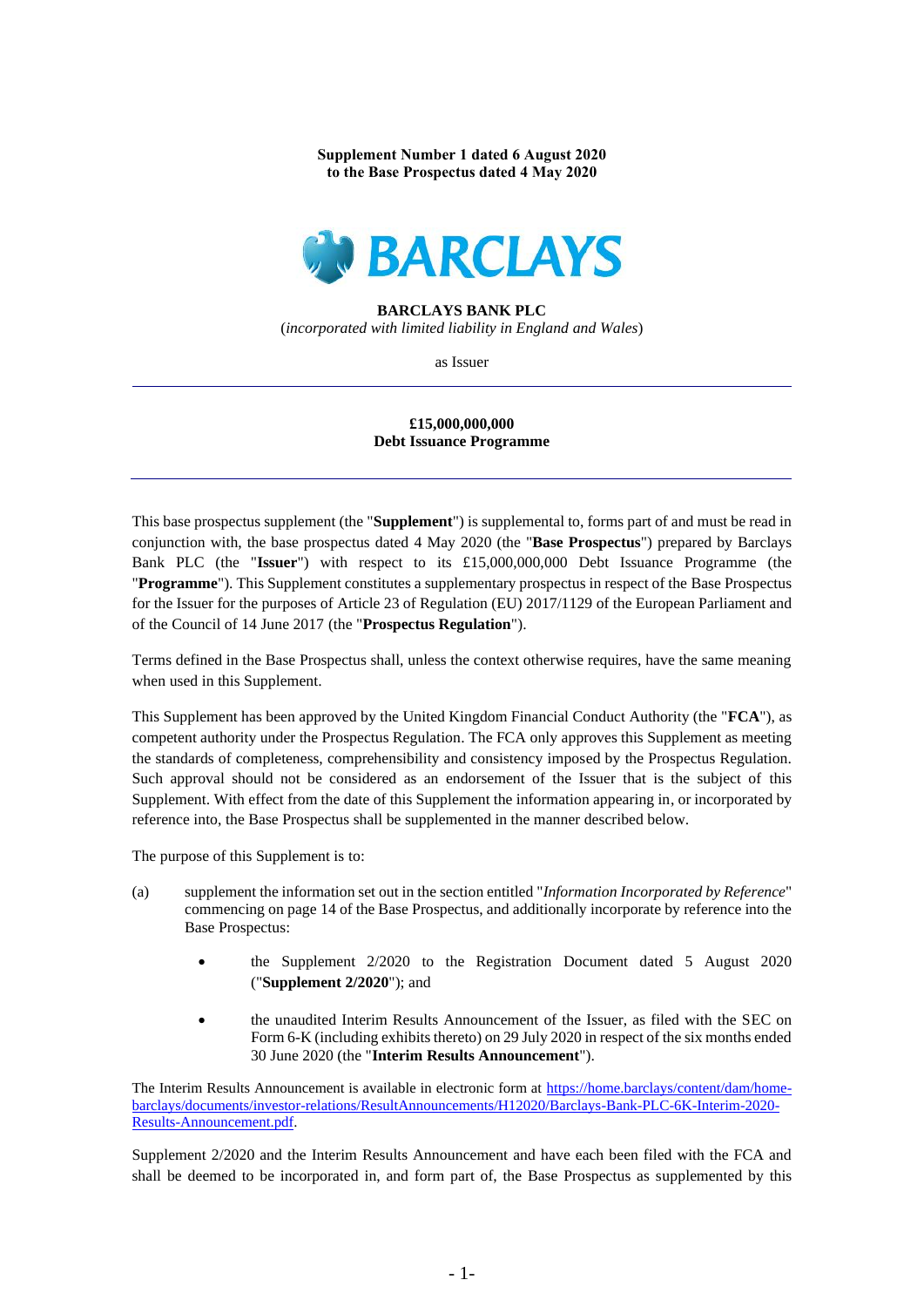**Supplement Number 1 dated 6 August 2020 to the Base Prospectus dated 4 May 2020**



#### **BARCLAYS BANK PLC**

(*incorporated with limited liability in England and Wales*)

as Issuer

### **£15,000,000,000 Debt Issuance Programme**

This base prospectus supplement (the "**Supplement**") is supplemental to, forms part of and must be read in conjunction with, the base prospectus dated 4 May 2020 (the "**Base Prospectus**") prepared by Barclays Bank PLC (the "**Issuer**") with respect to its £15,000,000,000 Debt Issuance Programme (the "**Programme**"). This Supplement constitutes a supplementary prospectus in respect of the Base Prospectus for the Issuer for the purposes of Article 23 of Regulation (EU) 2017/1129 of the European Parliament and of the Council of 14 June 2017 (the "**Prospectus Regulation**").

Terms defined in the Base Prospectus shall, unless the context otherwise requires, have the same meaning when used in this Supplement.

This Supplement has been approved by the United Kingdom Financial Conduct Authority (the "**FCA**"), as competent authority under the Prospectus Regulation. The FCA only approves this Supplement as meeting the standards of completeness, comprehensibility and consistency imposed by the Prospectus Regulation. Such approval should not be considered as an endorsement of the Issuer that is the subject of this Supplement. With effect from the date of this Supplement the information appearing in, or incorporated by reference into, the Base Prospectus shall be supplemented in the manner described below.

The purpose of this Supplement is to:

- (a) supplement the information set out in the section entitled "*Information Incorporated by Reference*" commencing on page 14 of the Base Prospectus, and additionally incorporate by reference into the Base Prospectus:
	- the Supplement 2/2020 to the Registration Document dated 5 August 2020 ("**Supplement 2/2020**"); and
	- the unaudited Interim Results Announcement of the Issuer, as filed with the SEC on Form 6-K (including exhibits thereto) on 29 July 2020 in respect of the six months ended 30 June 2020 (the "**Interim Results Announcement**").

The Interim Results Announcement is available in electronic form at [https://home.barclays/content/dam/home](https://home.barclays/content/dam/home-barclays/documents/investor-relations/ResultAnnouncements/H12020/Barclays-Bank-PLC-6K-Interim-2020-Results-Announcement.pdf)[barclays/documents/investor-relations/ResultAnnouncements/H12020/Barclays-Bank-PLC-6K-Interim-2020-](https://home.barclays/content/dam/home-barclays/documents/investor-relations/ResultAnnouncements/H12020/Barclays-Bank-PLC-6K-Interim-2020-Results-Announcement.pdf) [Results-Announcement.pdf.](https://home.barclays/content/dam/home-barclays/documents/investor-relations/ResultAnnouncements/H12020/Barclays-Bank-PLC-6K-Interim-2020-Results-Announcement.pdf) 

Supplement 2/2020 and the Interim Results Announcement and have each been filed with the FCA and shall be deemed to be incorporated in, and form part of, the Base Prospectus as supplemented by this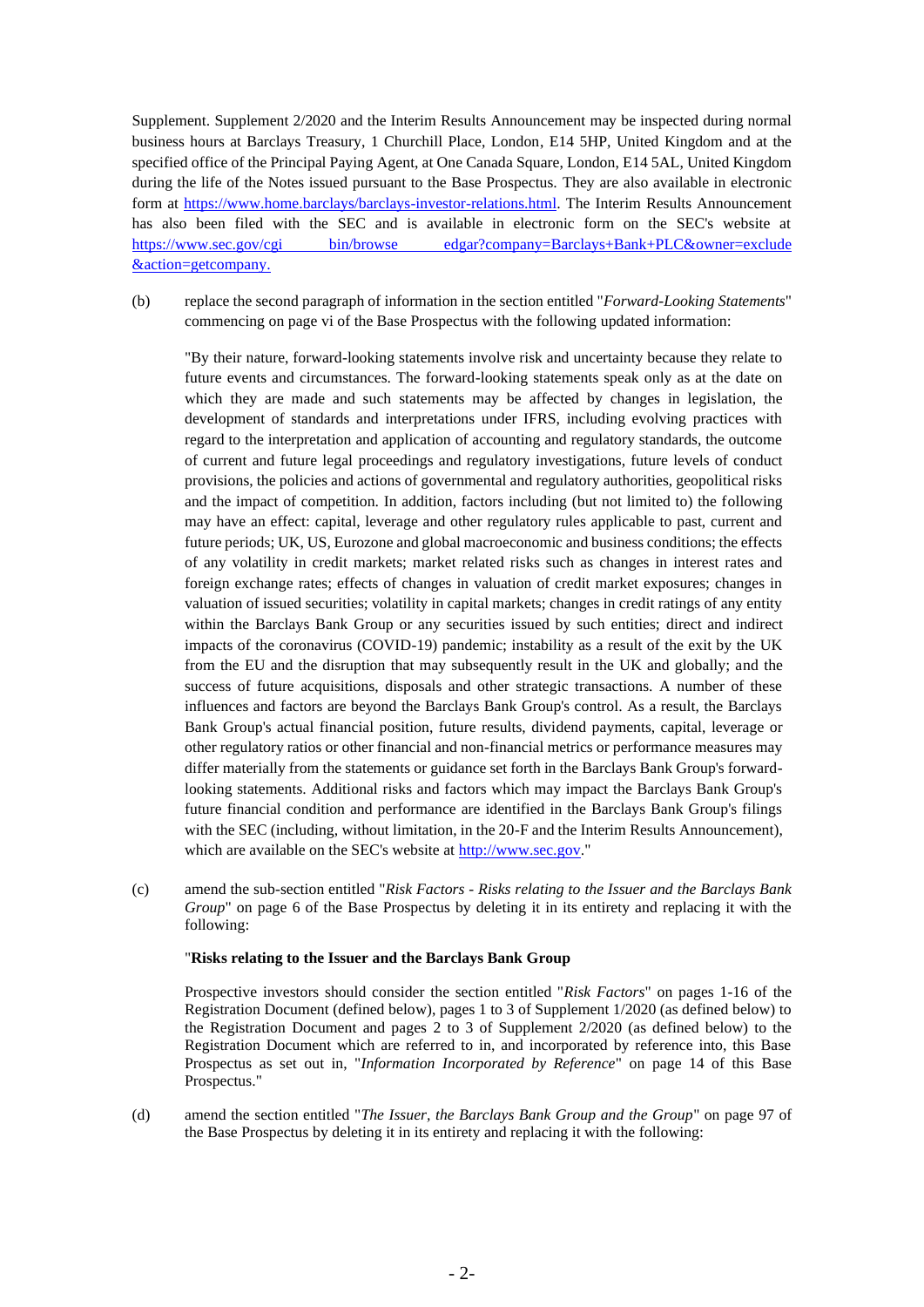Supplement. Supplement 2/2020 and the Interim Results Announcement may be inspected during normal business hours at Barclays Treasury, 1 Churchill Place, London, E14 5HP, United Kingdom and at the specified office of the Principal Paying Agent, at One Canada Square, London, E14 5AL, United Kingdom during the life of the Notes issued pursuant to the Base Prospectus. They are also available in electronic form at [https://www.home.barclays/barclays-investor-relations.html.](https://www.home.barclays/barclays-investor-relations.html) The Interim Results Announcement has also been filed with the SEC and is available in electronic form on the SEC's website at <https://www.sec.gov/cgi> bin/browse edgar?company=Barclays+Bank+PLC&owner=exclude &action=getcompany.

(b) replace the second paragraph of information in the section entitled "*Forward-Looking Statements*" commencing on page vi of the Base Prospectus with the following updated information:

"By their nature, forward-looking statements involve risk and uncertainty because they relate to future events and circumstances. The forward-looking statements speak only as at the date on which they are made and such statements may be affected by changes in legislation, the development of standards and interpretations under IFRS, including evolving practices with regard to the interpretation and application of accounting and regulatory standards, the outcome of current and future legal proceedings and regulatory investigations, future levels of conduct provisions, the policies and actions of governmental and regulatory authorities, geopolitical risks and the impact of competition. In addition, factors including (but not limited to) the following may have an effect: capital, leverage and other regulatory rules applicable to past, current and future periods; UK, US, Eurozone and global macroeconomic and business conditions; the effects of any volatility in credit markets; market related risks such as changes in interest rates and foreign exchange rates; effects of changes in valuation of credit market exposures; changes in valuation of issued securities; volatility in capital markets; changes in credit ratings of any entity within the Barclays Bank Group or any securities issued by such entities; direct and indirect impacts of the coronavirus (COVID-19) pandemic; instability as a result of the exit by the UK from the EU and the disruption that may subsequently result in the UK and globally; and the success of future acquisitions, disposals and other strategic transactions. A number of these influences and factors are beyond the Barclays Bank Group's control. As a result, the Barclays Bank Group's actual financial position, future results, dividend payments, capital, leverage or other regulatory ratios or other financial and non-financial metrics or performance measures may differ materially from the statements or guidance set forth in the Barclays Bank Group's forwardlooking statements. Additional risks and factors which may impact the Barclays Bank Group's future financial condition and performance are identified in the Barclays Bank Group's filings with the SEC (including, without limitation, in the 20-F and the Interim Results Announcement), which are available on the SEC's website at [http://www.sec.gov.](http://www.sec.gov/)"

(c) amend the sub-section entitled "*Risk Factors - Risks relating to the Issuer and the Barclays Bank Group*" on page 6 of the Base Prospectus by deleting it in its entirety and replacing it with the following:

#### "**Risks relating to the Issuer and the Barclays Bank Group**

Prospective investors should consider the section entitled "*Risk Factors*" on pages 1-16 of the Registration Document (defined below), pages 1 to 3 of Supplement 1/2020 (as defined below) to the Registration Document and pages 2 to 3 of Supplement 2/2020 (as defined below) to the Registration Document which are referred to in, and incorporated by reference into, this Base Prospectus as set out in, "*Information Incorporated by Reference*" on page 14 of this Base Prospectus."

(d) amend the section entitled "*The Issuer, the Barclays Bank Group and the Group*" on page 97 of the Base Prospectus by deleting it in its entirety and replacing it with the following: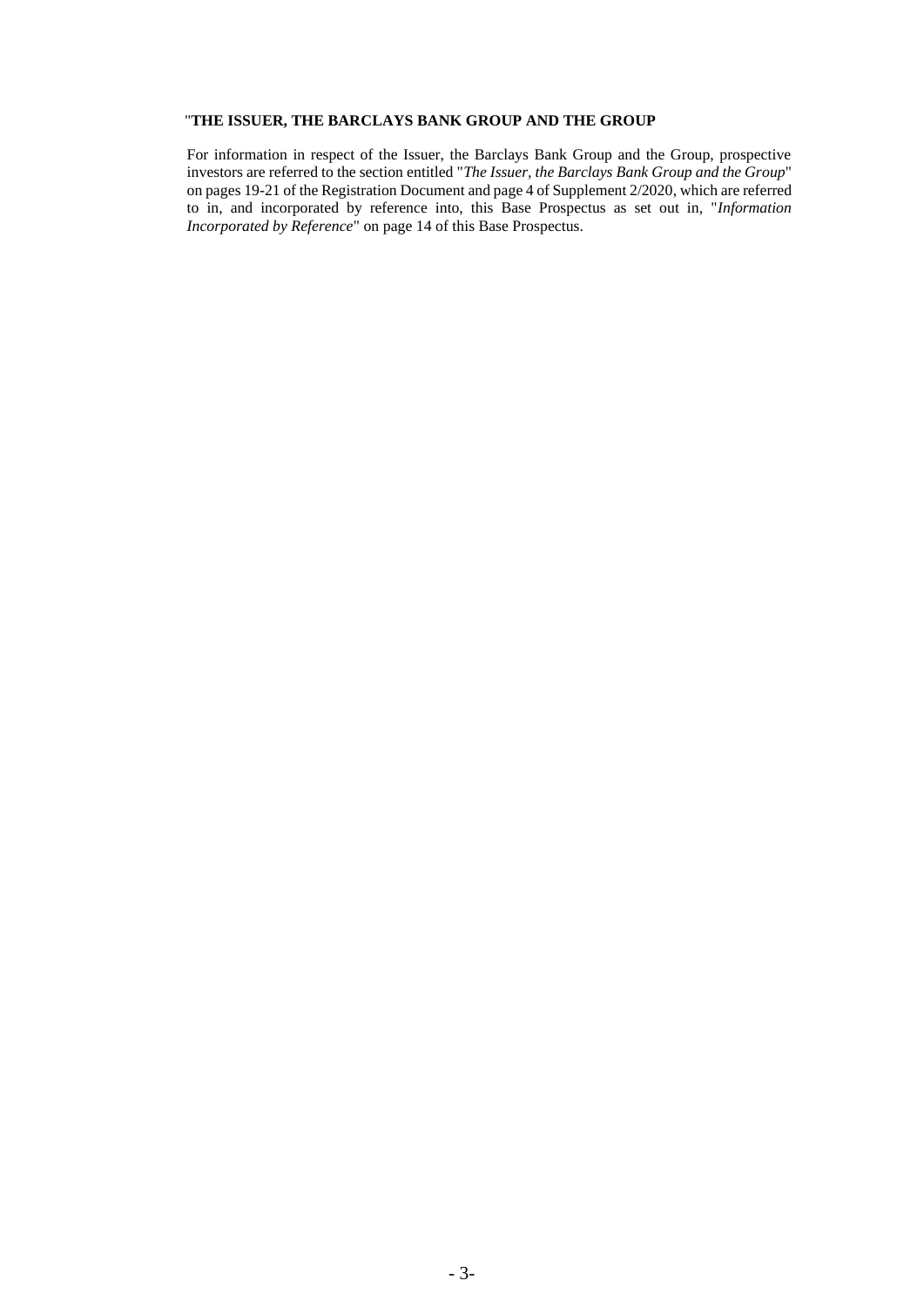## "**THE ISSUER, THE BARCLAYS BANK GROUP AND THE GROUP**

For information in respect of the Issuer, the Barclays Bank Group and the Group, prospective investors are referred to the section entitled "*The Issuer, the Barclays Bank Group and the Group*" on pages 19-21 of the Registration Document and page 4 of Supplement 2/2020, which are referred to in, and incorporated by reference into, this Base Prospectus as set out in, "*Information Incorporated by Reference*" on page 14 of this Base Prospectus.